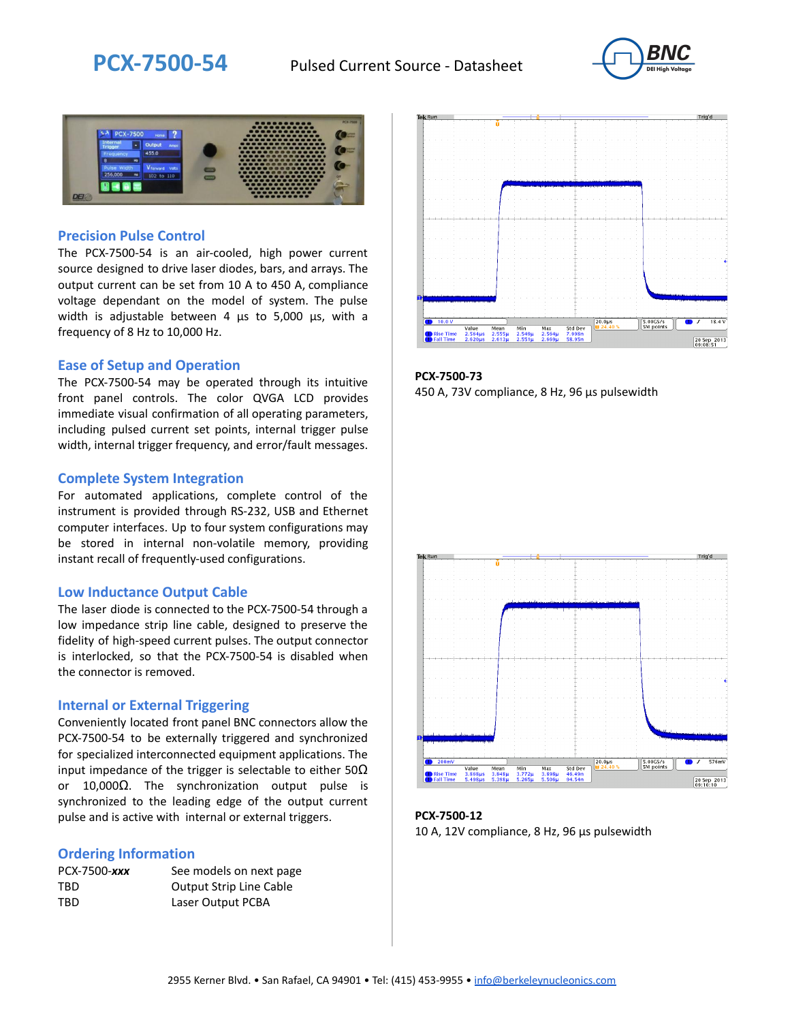



### **Precision Pulse Control**

The PCX-7500-54 is an air-cooled, high power current source designed to drive laser diodes, bars, and arrays. The output current can be set from 10 A to 450 A, compliance voltage dependant on the model of system. The pulse width is adjustable between 4 µs to 5,000 µs, with a frequency of 8 Hz to 10,000 Hz.

#### **Ease of Setup and Operation**

The PCX-7500-54 may be operated through its intuitive front panel controls. The color QVGA LCD provides immediate visual confirmation of all operating parameters, including pulsed current set points, internal trigger pulse width, internal trigger frequency, and error/fault messages.

#### **Complete System Integration**

For automated applications, complete control of the instrument is provided through RS-232, USB and Ethernet computer interfaces. Up to four system configurations may be stored in internal non-volatile memory, providing instant recall of frequently-used configurations.

#### **Low Inductance Output Cable**

The laser diode is connected to the PCX-7500-54 through a low impedance strip line cable, designed to preserve the fidelity of high-speed current pulses. The output connector is interlocked, so that the PCX-7500-54 is disabled when the connector is removed.

#### **Internal or External Triggering**

Conveniently located front panel BNC connectors allow the PCX-7500-54 to be externally triggered and synchronized for specialized interconnected equipment applications. The input impedance of the trigger is selectable to either  $50\Omega$ or 10,000Ω. The synchronization output pulse is synchronized to the leading edge of the output current pulse and is active with internal or external triggers.

#### **Ordering Information**

| PCX-7500-xxx | See models on next page        |
|--------------|--------------------------------|
| TBD          | <b>Output Strip Line Cable</b> |
| TBD          | Laser Output PCBA              |



**PCX-7500-73** 450 A, 73V compliance, 8 Hz, 96 µs pulsewidth



**PCX-7500-12** 10 A, 12V compliance, 8 Hz, 96 μs pulsewidth